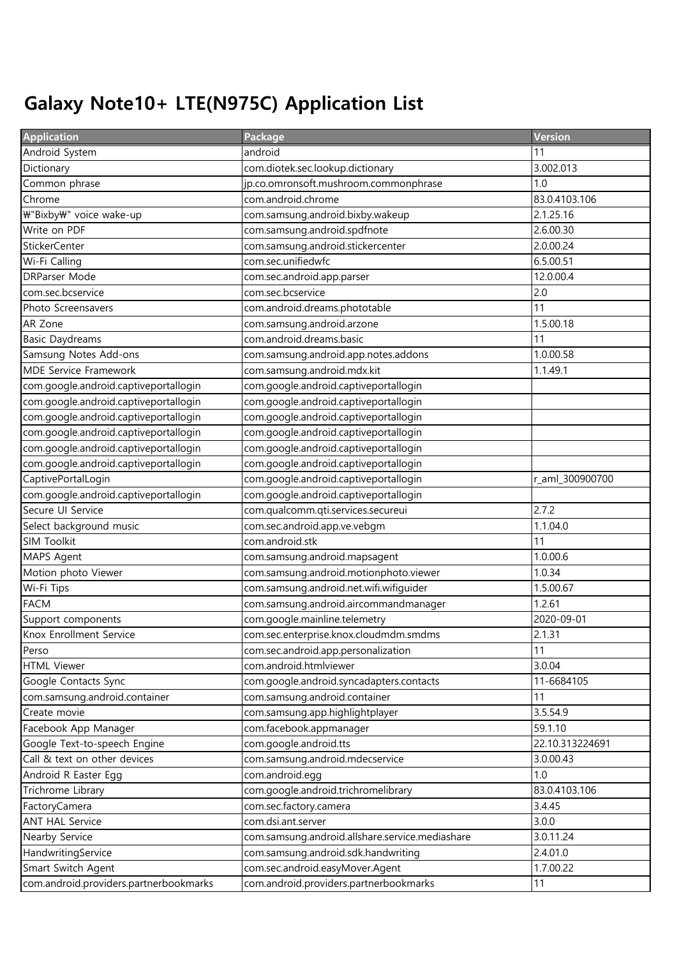## Galaxy Note10+ LTE(N975C) Application List

| <b>Application</b>                     | Package                                         | <b>Version</b>  |
|----------------------------------------|-------------------------------------------------|-----------------|
| Android System                         | android                                         | 11              |
| Dictionary                             | com.diotek.sec.lookup.dictionary                | 3.002.013       |
| Common phrase                          | jp.co.omronsoft.mushroom.commonphrase           | 1.0             |
| Chrome                                 | com.android.chrome                              | 83.0.4103.106   |
| ₩"Bixby₩" voice wake-up                | com.samsung.android.bixby.wakeup                | 2.1.25.16       |
| Write on PDF                           | com.samsung.android.spdfnote                    | 2.6.00.30       |
| <b>StickerCenter</b>                   | com.samsung.android.stickercenter               | 2.0.00.24       |
| Wi-Fi Calling                          | com.sec.unifiedwfc                              | 6.5.00.51       |
| <b>DRParser Mode</b>                   | com.sec.android.app.parser                      | 12.0.00.4       |
| com.sec.bcservice                      | com.sec.bcservice                               | 2.0             |
| Photo Screensavers                     | com.android.dreams.phototable                   | 11              |
| AR Zone                                | com.samsung.android.arzone                      | 1.5.00.18       |
| <b>Basic Daydreams</b>                 | com.android.dreams.basic                        | 11              |
| Samsung Notes Add-ons                  | com.samsung.android.app.notes.addons            | 1.0.00.58       |
| <b>MDE Service Framework</b>           | com.samsung.android.mdx.kit                     | 1.1.49.1        |
| com.google.android.captiveportallogin  | com.google.android.captiveportallogin           |                 |
| com.google.android.captiveportallogin  | com.google.android.captiveportallogin           |                 |
| com.google.android.captiveportallogin  | com.google.android.captiveportallogin           |                 |
| com.google.android.captiveportallogin  | com.google.android.captiveportallogin           |                 |
| com.google.android.captiveportallogin  | com.google.android.captiveportallogin           |                 |
| com.google.android.captiveportallogin  | com.google.android.captiveportallogin           |                 |
| CaptivePortalLogin                     | com.google.android.captiveportallogin           | r_aml_300900700 |
| com.google.android.captiveportallogin  | com.google.android.captiveportallogin           |                 |
| Secure UI Service                      | com.qualcomm.qti.services.secureui              | 2.7.2           |
| Select background music                | com.sec.android.app.ve.vebgm                    | 1.1.04.0        |
| <b>SIM Toolkit</b>                     | com.android.stk                                 | 11              |
| MAPS Agent                             | com.samsung.android.mapsagent                   | 1.0.00.6        |
| Motion photo Viewer                    | com.samsung.android.motionphoto.viewer          | 1.0.34          |
| Wi-Fi Tips                             | com.samsung.android.net.wifi.wifiguider         | 1.5.00.67       |
| <b>FACM</b>                            | com.samsung.android.aircommandmanager           | 1.2.61          |
| Support components                     | com.google.mainline.telemetry                   | 2020-09-01      |
| Knox Enrollment Service                | com.sec.enterprise.knox.cloudmdm.smdms          | 2.1.31          |
| Perso                                  | com.sec.android.app.personalization             | 11              |
| <b>HTML Viewer</b>                     | com.android.htmlviewer                          | 3.0.04          |
| Google Contacts Sync                   | com.google.android.syncadapters.contacts        | 11-6684105      |
| com.samsung.android.container          | com.samsung.android.container                   | 11              |
| Create movie                           | com.samsung.app.highlightplayer                 | 3.5.54.9        |
| Facebook App Manager                   | com.facebook.appmanager                         | 59.1.10         |
| Google Text-to-speech Engine           | com.google.android.tts                          | 22.10.313224691 |
| Call & text on other devices           | com.samsung.android.mdecservice                 | 3.0.00.43       |
| Android R Easter Egg                   | com.android.egg                                 | 1.0             |
| Trichrome Library                      | com.google.android.trichromelibrary             | 83.0.4103.106   |
| FactoryCamera                          | com.sec.factory.camera                          | 3.4.45          |
| <b>ANT HAL Service</b>                 | com.dsi.ant.server                              | 3.0.0           |
| Nearby Service                         | com.samsung.android.allshare.service.mediashare | 3.0.11.24       |
| HandwritingService                     | com.samsung.android.sdk.handwriting             | 2.4.01.0        |
| Smart Switch Agent                     | com.sec.android.easyMover.Agent                 | 1.7.00.22       |
| com.android.providers.partnerbookmarks | com.android.providers.partnerbookmarks          | 11              |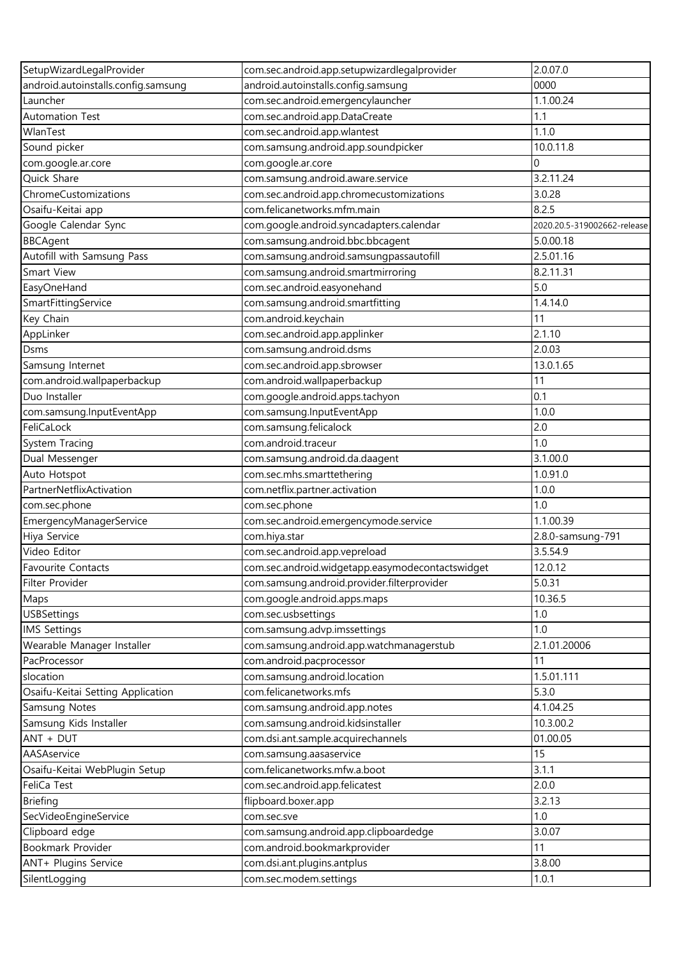| SetupWizardLegalProvider            | com.sec.android.app.setupwizardlegalprovider     | 2.0.07.0                    |
|-------------------------------------|--------------------------------------------------|-----------------------------|
| android.autoinstalls.config.samsung | android.autoinstalls.config.samsung              | 0000                        |
| Launcher                            | com.sec.android.emergencylauncher                | 1.1.00.24                   |
| Automation Test                     | com.sec.android.app.DataCreate                   | 1.1                         |
| WlanTest                            | com.sec.android.app.wlantest                     | 1.1.0                       |
| Sound picker                        | com.samsung.android.app.soundpicker              | 10.0.11.8                   |
| com.google.ar.core                  | com.google.ar.core                               | $\Omega$                    |
| Quick Share                         | com.samsung.android.aware.service                | 3.2.11.24                   |
| ChromeCustomizations                | com.sec.android.app.chromecustomizations         | 3.0.28                      |
| Osaifu-Keitai app                   | com.felicanetworks.mfm.main                      | 8.2.5                       |
| Google Calendar Sync                | com.google.android.syncadapters.calendar         | 2020.20.5-319002662-release |
| <b>BBCAgent</b>                     | com.samsung.android.bbc.bbcagent                 | 5.0.00.18                   |
| Autofill with Samsung Pass          | com.samsung.android.samsungpassautofill          | 2.5.01.16                   |
| Smart View                          | com.samsung.android.smartmirroring               | 8.2.11.31                   |
| EasyOneHand                         | com.sec.android.easyonehand                      | 5.0                         |
| SmartFittingService                 | com.samsung.android.smartfitting                 | 1.4.14.0                    |
| Key Chain                           | com.android.keychain                             | 11                          |
| AppLinker                           | com.sec.android.app.applinker                    | 2.1.10                      |
| Dsms                                | com.samsung.android.dsms                         | 2.0.03                      |
| Samsung Internet                    | com.sec.android.app.sbrowser                     | 13.0.1.65                   |
| com.android.wallpaperbackup         | com.android.wallpaperbackup                      | 11                          |
| Duo Installer                       |                                                  | 0.1                         |
|                                     | com.google.android.apps.tachyon                  | 1.0.0                       |
| com.samsung.InputEventApp           | com.samsung.InputEventApp                        |                             |
| FeliCaLock                          | com.samsung.felicalock                           | 2.0                         |
| System Tracing                      | com.android.traceur                              | 1.0                         |
| Dual Messenger                      | com.samsung.android.da.daagent                   | 3.1.00.0                    |
| Auto Hotspot                        | com.sec.mhs.smarttethering                       | 1.0.91.0                    |
| PartnerNetflixActivation            | com.netflix.partner.activation                   | 1.0.0                       |
| com.sec.phone                       | com.sec.phone                                    | 1.0                         |
| EmergencyManagerService             | com.sec.android.emergencymode.service            | 1.1.00.39                   |
| Hiya Service                        | com.hiya.star                                    | 2.8.0-samsung-791           |
| Video Editor                        | com.sec.android.app.vepreload                    | 3.5.54.9                    |
| <b>Favourite Contacts</b>           | com.sec.android.widgetapp.easymodecontactswidget | 12.0.12                     |
| Filter Provider                     | com.samsung.android.provider.filterprovider      | 5.0.31                      |
| Maps                                | com.google.android.apps.maps                     | 10.36.5                     |
| <b>USBSettings</b>                  | com.sec.usbsettings                              | 1.0                         |
| <b>IMS Settings</b>                 | com.samsung.advp.imssettings                     | 1.0                         |
| Wearable Manager Installer          | com.samsung.android.app.watchmanagerstub         | 2.1.01.20006                |
| PacProcessor                        | com.android.pacprocessor                         | 11                          |
| slocation                           | com.samsung.android.location                     | 1.5.01.111                  |
| Osaifu-Keitai Setting Application   | com.felicanetworks.mfs                           | 5.3.0                       |
| Samsung Notes                       | com.samsung.android.app.notes                    | 4.1.04.25                   |
| Samsung Kids Installer              | com.samsung.android.kidsinstaller                | 10.3.00.2                   |
| ANT + DUT                           | com.dsi.ant.sample.acquirechannels               | 01.00.05                    |
| AASAservice                         | com.samsung.aasaservice                          | 15                          |
| Osaifu-Keitai WebPlugin Setup       | com.felicanetworks.mfw.a.boot                    | 3.1.1                       |
| FeliCa Test                         | com.sec.android.app.felicatest                   | 2.0.0                       |
| <b>Briefing</b>                     | flipboard.boxer.app                              | 3.2.13                      |
| SecVideoEngineService               | com.sec.sve                                      | 1.0                         |
| Clipboard edge                      | com.samsung.android.app.clipboardedge            | 3.0.07                      |
| Bookmark Provider                   | com.android.bookmarkprovider                     | 11                          |
| ANT+ Plugins Service                | com.dsi.ant.plugins.antplus                      | 3.8.00                      |
| SilentLogging                       | com.sec.modem.settings                           | 1.0.1                       |
|                                     |                                                  |                             |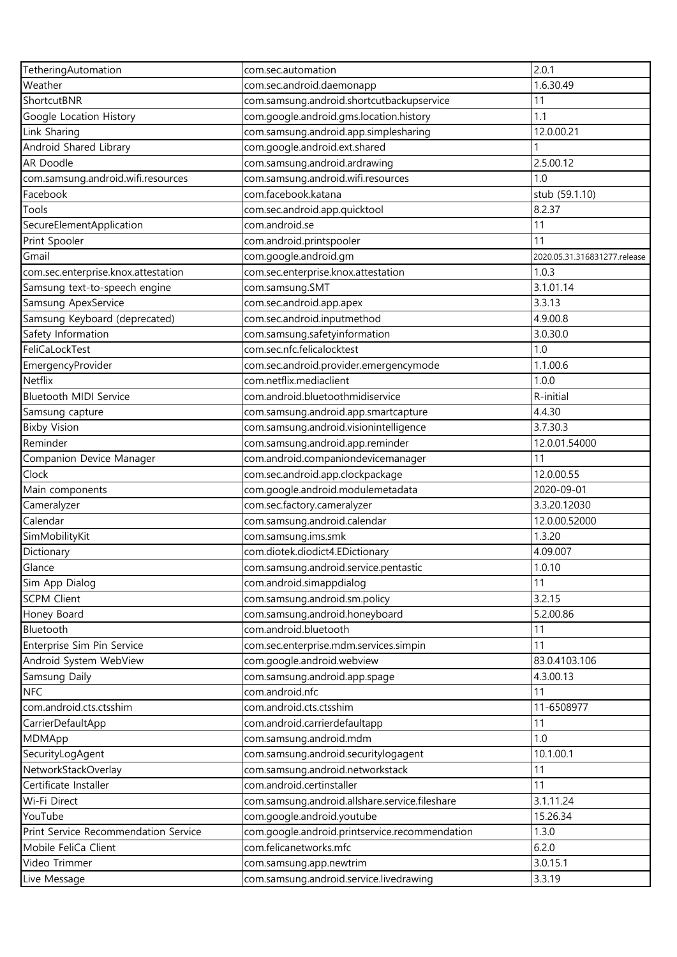| TetheringAutomation                  | com.sec.automation                                      | 2.0.1                        |
|--------------------------------------|---------------------------------------------------------|------------------------------|
| Weather                              | com.sec.android.daemonapp                               | 1.6.30.49                    |
| ShortcutBNR                          | com.samsung.android.shortcutbackupservice               | 11                           |
| Google Location History              | com.google.android.gms.location.history                 | 1.1                          |
| Link Sharing                         | com.samsung.android.app.simplesharing                   | 12.0.00.21                   |
| Android Shared Library               | com.google.android.ext.shared                           |                              |
| AR Doodle                            | com.samsung.android.ardrawing                           | 2.5.00.12                    |
| com.samsung.android.wifi.resources   | com.samsung.android.wifi.resources                      | 1.0                          |
| Facebook                             | com.facebook.katana                                     | stub (59.1.10)               |
| Tools                                | com.sec.android.app.quicktool                           | 8.2.37                       |
| SecureElementApplication             | com.android.se                                          | 11                           |
| Print Spooler                        | com.android.printspooler                                | 11                           |
| Gmail                                | com.google.android.gm                                   | 2020.05.31.316831277.release |
| com.sec.enterprise.knox.attestation  | com.sec.enterprise.knox.attestation                     | 1.0.3                        |
| Samsung text-to-speech engine        | com.samsung.SMT                                         | 3.1.01.14                    |
| Samsung ApexService                  | com.sec.android.app.apex                                | 3.3.13                       |
| Samsung Keyboard (deprecated)        | com.sec.android.inputmethod                             | 4.9.00.8                     |
| Safety Information                   | com.samsung.safetyinformation                           | 3.0.30.0                     |
| FeliCaLockTest                       | com.sec.nfc.felicalocktest                              | 1.0                          |
| EmergencyProvider                    | com.sec.android.provider.emergencymode                  | 1.1.00.6                     |
| Netflix                              | com.netflix.mediaclient                                 | 1.0.0                        |
| Bluetooth MIDI Service               | com.android.bluetoothmidiservice                        | R-initial                    |
| Samsung capture                      | com.samsung.android.app.smartcapture                    | 4.4.30                       |
| <b>Bixby Vision</b>                  | com.samsung.android.visionintelligence                  | 3.7.30.3                     |
| Reminder                             | com.samsung.android.app.reminder                        | 12.0.01.54000                |
|                                      | com.android.companiondevicemanager                      | 11                           |
| Companion Device Manager<br>Clock    | com.sec.android.app.clockpackage                        | 12.0.00.55                   |
|                                      | com.google.android.modulemetadata                       | 2020-09-01                   |
| Main components<br>Cameralyzer       | com.sec.factory.cameralyzer                             | 3.3.20.12030                 |
| Calendar                             | com.samsung.android.calendar                            | 12.0.00.52000                |
| SimMobilityKit                       | com.samsung.ims.smk                                     | 1.3.20                       |
| Dictionary                           | com.diotek.diodict4.EDictionary                         | 4.09.007                     |
| Glance                               | com.samsung.android.service.pentastic                   | 1.0.10                       |
| Sim App Dialog                       | com.android.simappdialog                                | 11                           |
| <b>SCPM Client</b>                   | com.samsung.android.sm.policy                           | 3.2.15                       |
| Honey Board                          |                                                         | 5.2.00.86                    |
| Bluetooth                            | com.samsung.android.honeyboard<br>com.android.bluetooth | 11                           |
|                                      |                                                         | 11                           |
| Enterprise Sim Pin Service           | com.sec.enterprise.mdm.services.simpin                  |                              |
| Android System WebView               | com.google.android.webview                              | 83.0.4103.106                |
| Samsung Daily                        | com.samsung.android.app.spage<br>com.android.nfc        | 4.3.00.13                    |
| <b>NFC</b>                           |                                                         | 11                           |
| com.android.cts.ctsshim              | com.android.cts.ctsshim                                 | 11-6508977                   |
| CarrierDefaultApp                    | com.android.carrierdefaultapp                           | 11                           |
| MDMApp                               | com.samsung.android.mdm                                 | 1.0                          |
| SecurityLogAgent                     | com.samsung.android.securitylogagent                    | 10.1.00.1                    |
| NetworkStackOverlay                  | com.samsung.android.networkstack                        | 11                           |
| Certificate Installer                | com.android.certinstaller                               | 11                           |
| Wi-Fi Direct                         | com.samsung.android.allshare.service.fileshare          | 3.1.11.24                    |
| YouTube                              | com.google.android.youtube                              | 15.26.34                     |
| Print Service Recommendation Service | com.google.android.printservice.recommendation          | 1.3.0                        |
| Mobile FeliCa Client                 | com.felicanetworks.mfc                                  | 6.2.0                        |
| Video Trimmer                        | com.samsung.app.newtrim                                 | 3.0.15.1                     |
| Live Message                         | com.samsung.android.service.livedrawing                 | 3.3.19                       |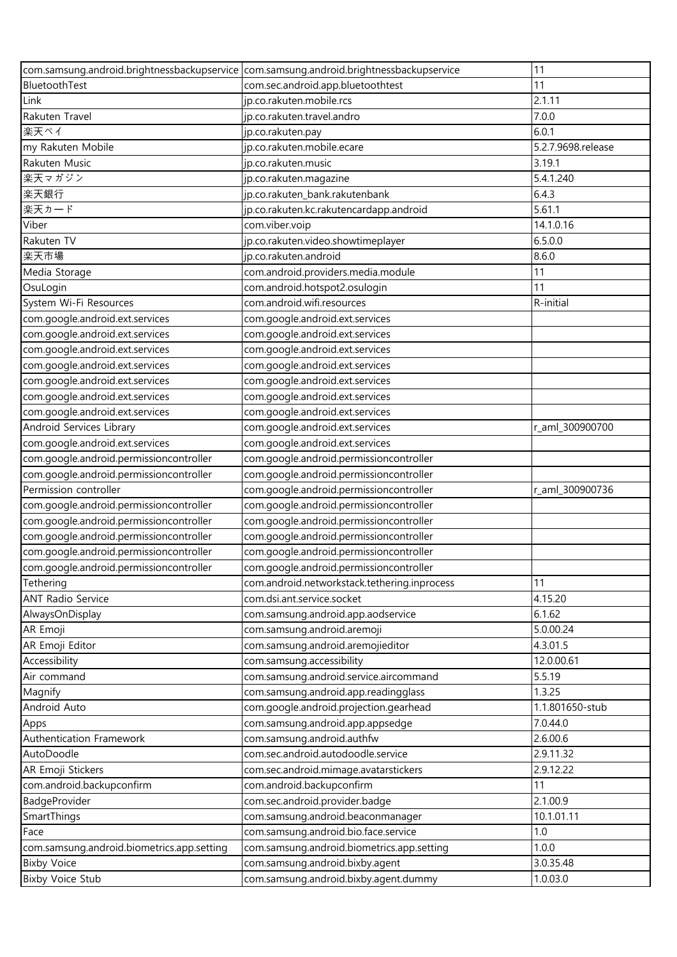|                                            | com.samsung.android.brightnessbackupservice com.samsung.android.brightnessbackupservice | 11                 |
|--------------------------------------------|-----------------------------------------------------------------------------------------|--------------------|
| BluetoothTest                              | com.sec.android.app.bluetoothtest                                                       | 11                 |
| Link                                       | jp.co.rakuten.mobile.rcs                                                                | 2.1.11             |
| Rakuten Travel                             | jp.co.rakuten.travel.andro                                                              | 7.0.0              |
| 楽天ペイ                                       | jp.co.rakuten.pay                                                                       | 6.0.1              |
| my Rakuten Mobile                          | jp.co.rakuten.mobile.ecare                                                              | 5.2.7.9698.release |
| Rakuten Music                              | jp.co.rakuten.music                                                                     | 3.19.1             |
| 楽天マガジン                                     | jp.co.rakuten.magazine                                                                  | 5.4.1.240          |
| 楽天銀行                                       | jp.co.rakuten_bank.rakutenbank                                                          | 6.4.3              |
| 楽天カード                                      | jp.co.rakuten.kc.rakutencardapp.android                                                 | 5.61.1             |
| Viber                                      | com.viber.voip                                                                          | 14.1.0.16          |
| Rakuten TV                                 | jp.co.rakuten.video.showtimeplayer                                                      | 6.5.0.0            |
| 楽天市場                                       | jp.co.rakuten.android                                                                   | 8.6.0              |
| Media Storage                              | com.android.providers.media.module                                                      | 11                 |
| OsuLogin                                   | com.android.hotspot2.osulogin                                                           | 11                 |
| System Wi-Fi Resources                     | com.android.wifi.resources                                                              | R-initial          |
| com.google.android.ext.services            | com.google.android.ext.services                                                         |                    |
| com.google.android.ext.services            | com.google.android.ext.services                                                         |                    |
| com.google.android.ext.services            | com.google.android.ext.services                                                         |                    |
| com.google.android.ext.services            | com.google.android.ext.services                                                         |                    |
| com.google.android.ext.services            | com.google.android.ext.services                                                         |                    |
| com.google.android.ext.services            | com.google.android.ext.services                                                         |                    |
| com.google.android.ext.services            | com.google.android.ext.services                                                         |                    |
| Android Services Library                   | com.google.android.ext.services                                                         | r_aml_300900700    |
| com.google.android.ext.services            | com.google.android.ext.services                                                         |                    |
| com.google.android.permissioncontroller    | com.google.android.permissioncontroller                                                 |                    |
| com.google.android.permissioncontroller    | com.google.android.permissioncontroller                                                 |                    |
| Permission controller                      | com.google.android.permissioncontroller                                                 | r_aml_300900736    |
| com.google.android.permissioncontroller    | com.google.android.permissioncontroller                                                 |                    |
| com.google.android.permissioncontroller    | com.google.android.permissioncontroller                                                 |                    |
| com.google.android.permissioncontroller    | com.google.android.permissioncontroller                                                 |                    |
| com.google.android.permissioncontroller    | com.google.android.permissioncontroller                                                 |                    |
| com.google.android.permissioncontroller    | com.google.android.permissioncontroller                                                 |                    |
| Tethering                                  | com.android.networkstack.tethering.inprocess                                            | 11                 |
| <b>ANT Radio Service</b>                   | com.dsi.ant.service.socket                                                              | 4.15.20            |
| AlwaysOnDisplay                            | com.samsung.android.app.aodservice                                                      | 6.1.62             |
| AR Emoji                                   | com.samsung.android.aremoji                                                             | 5.0.00.24          |
| AR Emoji Editor                            | com.samsung.android.aremojieditor                                                       | 4.3.01.5           |
| Accessibility                              | com.samsung.accessibility                                                               | 12.0.00.61         |
| Air command                                | com.samsung.android.service.aircommand                                                  | 5.5.19             |
| Magnify                                    | com.samsung.android.app.readingglass                                                    | 1.3.25             |
| Android Auto                               | com.google.android.projection.gearhead                                                  | 1.1.801650-stub    |
| Apps                                       | com.samsung.android.app.appsedge                                                        | 7.0.44.0           |
| Authentication Framework                   | com.samsung.android.authfw                                                              | 2.6.00.6           |
| AutoDoodle                                 | com.sec.android.autodoodle.service                                                      | 2.9.11.32          |
| AR Emoji Stickers                          | com.sec.android.mimage.avatarstickers                                                   | 2.9.12.22          |
| com.android.backupconfirm                  | com.android.backupconfirm                                                               | 11                 |
| BadgeProvider                              | com.sec.android.provider.badge                                                          | 2.1.00.9           |
| SmartThings                                | com.samsung.android.beaconmanager                                                       | 10.1.01.11         |
| Face                                       | com.samsung.android.bio.face.service                                                    | 1.0                |
| com.samsung.android.biometrics.app.setting | com.samsung.android.biometrics.app.setting                                              | 1.0.0              |
| <b>Bixby Voice</b>                         | com.samsung.android.bixby.agent                                                         | 3.0.35.48          |
| <b>Bixby Voice Stub</b>                    | com.samsung.android.bixby.agent.dummy                                                   | 1.0.03.0           |
|                                            |                                                                                         |                    |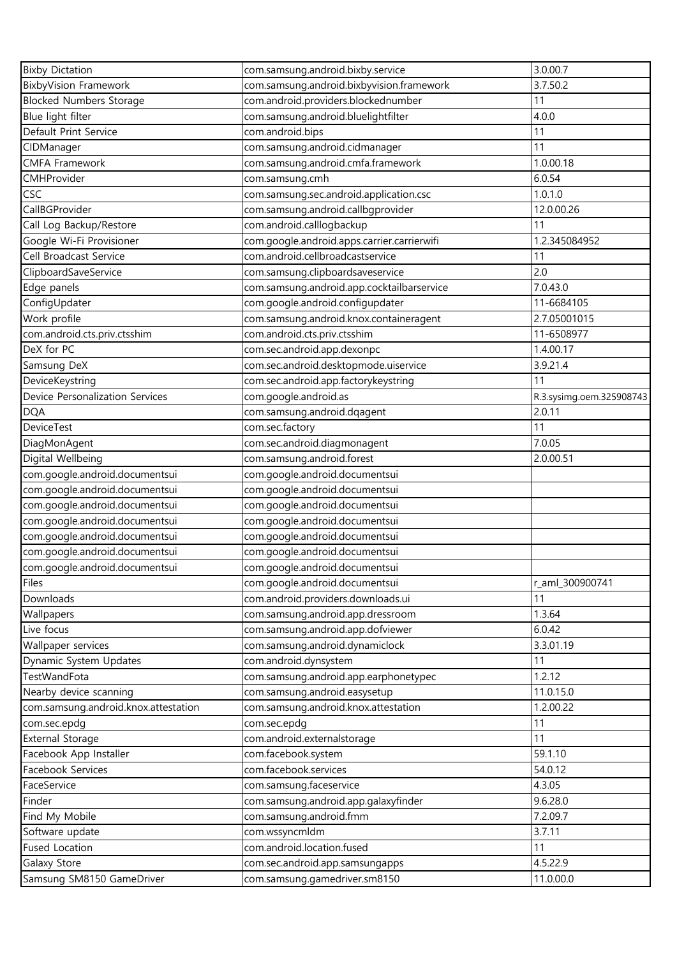| <b>Bixby Dictation</b>               | com.samsung.android.bixby.service           | 3.0.00.7                 |
|--------------------------------------|---------------------------------------------|--------------------------|
| <b>BixbyVision Framework</b>         | com.samsung.android.bixbyvision.framework   | 3.7.50.2                 |
| <b>Blocked Numbers Storage</b>       | com.android.providers.blockednumber         | 11                       |
| Blue light filter                    | com.samsung.android.bluelightfilter         | 4.0.0                    |
| Default Print Service                | com.android.bips                            | 11                       |
| CIDManager                           | com.samsung.android.cidmanager              | 11                       |
| <b>CMFA Framework</b>                | com.samsung.android.cmfa.framework          | 1.0.00.18                |
| CMHProvider                          | com.samsung.cmh                             | 6.0.54                   |
| <b>CSC</b>                           | com.samsung.sec.android.application.csc     | 1.0.1.0                  |
| CallBGProvider                       |                                             | 12.0.00.26               |
|                                      | com.samsung.android.callbgprovider          |                          |
| Call Log Backup/Restore              | com.android.calllogbackup                   | 11                       |
| Google Wi-Fi Provisioner             | com.google.android.apps.carrier.carrierwifi | 1.2.345084952            |
| Cell Broadcast Service               | com.android.cellbroadcastservice            | 11                       |
| ClipboardSaveService                 | com.samsung.clipboardsaveservice            | 2.0                      |
| Edge panels                          | com.samsung.android.app.cocktailbarservice  | 7.0.43.0                 |
| ConfigUpdater                        | com.google.android.configupdater            | 11-6684105               |
| Work profile                         | com.samsung.android.knox.containeragent     | 2.7.05001015             |
| com.android.cts.priv.ctsshim         | com.android.cts.priv.ctsshim                | 11-6508977               |
| DeX for PC                           | com.sec.android.app.dexonpc                 | 1.4.00.17                |
| Samsung DeX                          | com.sec.android.desktopmode.uiservice       | 3.9.21.4                 |
| DeviceKeystring                      | com.sec.android.app.factorykeystring        | 11                       |
| Device Personalization Services      | com.google.android.as                       | R.3.sysimg.oem.325908743 |
| <b>DQA</b>                           | com.samsung.android.dqagent                 | 2.0.11                   |
| <b>DeviceTest</b>                    | com.sec.factory                             | 11                       |
| DiagMonAgent                         | com.sec.android.diagmonagent                | 7.0.05                   |
| Digital Wellbeing                    | com.samsung.android.forest                  | 2.0.00.51                |
| com.google.android.documentsui       | com.google.android.documentsui              |                          |
| com.google.android.documentsui       | com.google.android.documentsui              |                          |
| com.google.android.documentsui       | com.google.android.documentsui              |                          |
| com.google.android.documentsui       | com.google.android.documentsui              |                          |
| com.google.android.documentsui       | com.google.android.documentsui              |                          |
| com.google.android.documentsui       | com.google.android.documentsui              |                          |
| com.google.android.documentsui       | com.google.android.documentsui              |                          |
| <b>Files</b>                         | com.google.android.documentsui              | r_aml_300900741          |
| Downloads                            | com.android.providers.downloads.ui          | 11                       |
|                                      |                                             |                          |
| Wallpapers                           | com.samsung.android.app.dressroom           | 1.3.64                   |
| Live focus                           | com.samsung.android.app.dofviewer           | 6.0.42                   |
| Wallpaper services                   | com.samsung.android.dynamiclock             | 3.3.01.19                |
| Dynamic System Updates               | com.android.dynsystem                       | 11                       |
| TestWandFota                         | com.samsung.android.app.earphonetypec       | 1.2.12                   |
| Nearby device scanning               | com.samsung.android.easysetup               | 11.0.15.0                |
| com.samsung.android.knox.attestation | com.samsung.android.knox.attestation        | 1.2.00.22                |
| com.sec.epdg                         | com.sec.epdg                                | 11                       |
| <b>External Storage</b>              | com.android.externalstorage                 | 11                       |
| Facebook App Installer               | com.facebook.system                         | 59.1.10                  |
| Facebook Services                    | com.facebook.services                       | 54.0.12                  |
| FaceService                          | com.samsung.faceservice                     | 4.3.05                   |
| Finder                               | com.samsung.android.app.galaxyfinder        | 9.6.28.0                 |
| Find My Mobile                       | com.samsung.android.fmm                     | 7.2.09.7                 |
| Software update                      | com.wssyncmldm                              | 3.7.11                   |
| <b>Fused Location</b>                | com.android.location.fused                  | 11                       |
| Galaxy Store                         | com.sec.android.app.samsungapps             | 4.5.22.9                 |
| Samsung SM8150 GameDriver            | com.samsung.gamedriver.sm8150               | 11.0.00.0                |
|                                      |                                             |                          |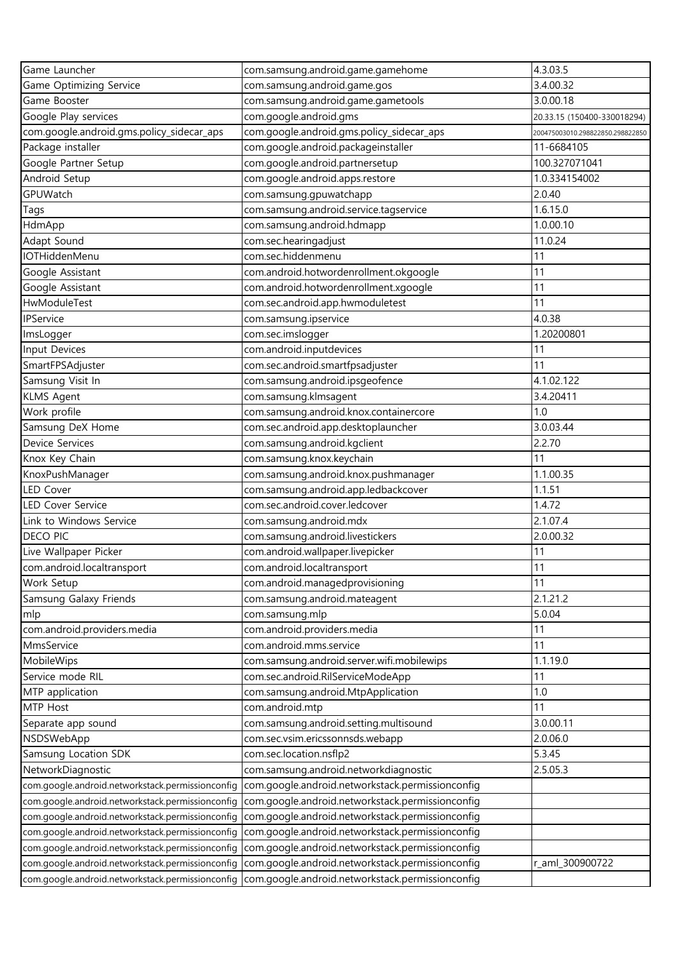| Game Launcher                                    | com.samsung.android.game.gamehome                                                                 | 4.3.03.5                         |
|--------------------------------------------------|---------------------------------------------------------------------------------------------------|----------------------------------|
| Game Optimizing Service                          | com.samsung.android.game.gos                                                                      | 3.4.00.32                        |
| Game Booster                                     | com.samsung.android.game.gametools                                                                | 3.0.00.18                        |
| Google Play services                             | com.google.android.gms                                                                            | 20.33.15 (150400-330018294)      |
| com.google.android.gms.policy_sidecar_aps        | com.google.android.gms.policy_sidecar_aps                                                         | 200475003010.298822850.298822850 |
| Package installer                                | com.google.android.packageinstaller                                                               | 11-6684105                       |
| Google Partner Setup                             | com.google.android.partnersetup                                                                   | 100.327071041                    |
| Android Setup                                    | com.google.android.apps.restore                                                                   | 1.0.334154002                    |
| GPUWatch                                         | com.samsung.gpuwatchapp                                                                           | 2.0.40                           |
| Tags                                             | com.samsung.android.service.tagservice                                                            | 1.6.15.0                         |
| HdmApp                                           | com.samsung.android.hdmapp                                                                        | 1.0.00.10                        |
| Adapt Sound                                      | com.sec.hearingadjust                                                                             | 11.0.24                          |
| IOTHiddenMenu                                    | com.sec.hiddenmenu                                                                                | 11                               |
| Google Assistant                                 | com.android.hotwordenrollment.okgoogle                                                            | 11                               |
| Google Assistant                                 | com.android.hotwordenrollment.xgoogle                                                             | 11                               |
| HwModuleTest                                     | com.sec.android.app.hwmoduletest                                                                  | 11                               |
| IPService                                        |                                                                                                   | 4.0.38                           |
|                                                  | com.samsung.ipservice                                                                             | 1.20200801                       |
| ImsLogger                                        | com.sec.imslogger                                                                                 | 11                               |
| Input Devices                                    | com.android.inputdevices                                                                          |                                  |
| SmartFPSAdjuster                                 | com.sec.android.smartfpsadjuster                                                                  | 11                               |
| Samsung Visit In                                 | com.samsung.android.ipsgeofence                                                                   | 4.1.02.122                       |
| <b>KLMS Agent</b>                                | com.samsung.klmsagent                                                                             | 3.4.20411                        |
| Work profile                                     | com.samsung.android.knox.containercore                                                            | 1.0                              |
| Samsung DeX Home                                 | com.sec.android.app.desktoplauncher                                                               | 3.0.03.44                        |
| Device Services                                  | com.samsung.android.kgclient                                                                      | 2.2.70                           |
| Knox Key Chain                                   | com.samsung.knox.keychain                                                                         | 11                               |
| KnoxPushManager                                  | com.samsung.android.knox.pushmanager                                                              | 1.1.00.35                        |
| <b>LED Cover</b>                                 | com.samsung.android.app.ledbackcover                                                              | 1.1.51                           |
| <b>LED Cover Service</b>                         | com.sec.android.cover.ledcover                                                                    | 1.4.72                           |
| Link to Windows Service                          | com.samsung.android.mdx                                                                           | 2.1.07.4                         |
| <b>DECO PIC</b>                                  | com.samsung.android.livestickers                                                                  | 2.0.00.32                        |
| Live Wallpaper Picker                            | com.android.wallpaper.livepicker                                                                  | 11                               |
| com.android.localtransport                       | com.android.localtransport                                                                        | 11                               |
| Work Setup                                       | com.android.managedprovisioning                                                                   | 11                               |
| Samsung Galaxy Friends                           | com.samsung.android.mateagent                                                                     | 2.1.21.2                         |
| mlp                                              | com.samsung.mlp                                                                                   | 5.0.04                           |
| com.android.providers.media                      | com.android.providers.media                                                                       | 11                               |
| MmsService                                       | com.android.mms.service                                                                           | 11                               |
| MobileWips                                       | com.samsung.android.server.wifi.mobilewips                                                        | 1.1.19.0                         |
| Service mode RIL                                 | com.sec.android.RilServiceModeApp                                                                 | 11                               |
| MTP application                                  | com.samsung.android.MtpApplication                                                                | 1.0                              |
| MTP Host                                         | com.android.mtp                                                                                   | 11                               |
| Separate app sound                               | com.samsung.android.setting.multisound                                                            | 3.0.00.11                        |
| NSDSWebApp                                       | com.sec.vsim.ericssonnsds.webapp                                                                  | 2.0.06.0                         |
| Samsung Location SDK                             | com.sec.location.nsflp2                                                                           | 5.3.45                           |
| NetworkDiagnostic                                | com.samsung.android.networkdiagnostic                                                             | 2.5.05.3                         |
| com.google.android.networkstack.permissionconfig | com.google.android.networkstack.permissionconfig                                                  |                                  |
| com.google.android.networkstack.permissionconfig | com.google.android.networkstack.permissionconfig                                                  |                                  |
| com.google.android.networkstack.permissionconfig | com.google.android.networkstack.permissionconfig                                                  |                                  |
| com.google.android.networkstack.permissionconfig | com.google.android.networkstack.permissionconfig                                                  |                                  |
| com.google.android.networkstack.permissionconfig | com.google.android.networkstack.permissionconfig                                                  |                                  |
| com.google.android.networkstack.permissionconfig | com.google.android.networkstack.permissionconfig                                                  | r_aml_300900722                  |
|                                                  | com.google.android.networkstack.permissionconfig com.google.android.networkstack.permissionconfig |                                  |
|                                                  |                                                                                                   |                                  |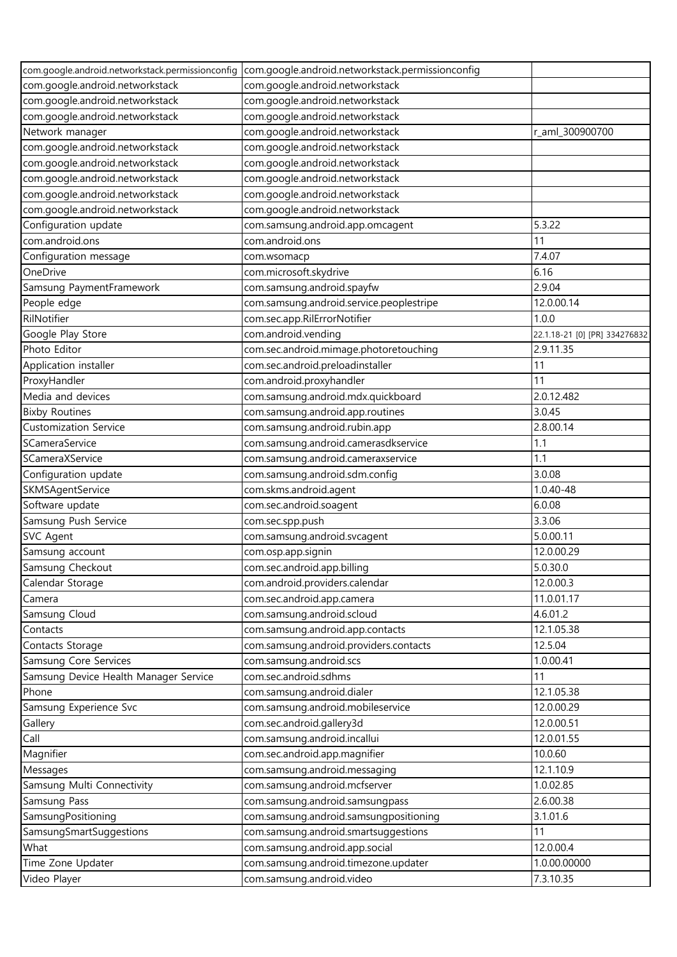|                                       | com.google.android.networkstack.permissionconfig com.google.android.networkstack.permissionconfig |                               |
|---------------------------------------|---------------------------------------------------------------------------------------------------|-------------------------------|
| com.google.android.networkstack       | com.google.android.networkstack                                                                   |                               |
| com.google.android.networkstack       | com.google.android.networkstack                                                                   |                               |
| com.google.android.networkstack       | com.google.android.networkstack                                                                   |                               |
| Network manager                       | com.google.android.networkstack                                                                   | r_aml_300900700               |
| com.google.android.networkstack       | com.google.android.networkstack                                                                   |                               |
| com.google.android.networkstack       | com.google.android.networkstack                                                                   |                               |
| com.google.android.networkstack       | com.google.android.networkstack                                                                   |                               |
| com.google.android.networkstack       | com.google.android.networkstack                                                                   |                               |
| com.google.android.networkstack       | com.google.android.networkstack                                                                   |                               |
| Configuration update                  | com.samsung.android.app.omcagent                                                                  | 5.3.22                        |
| com.android.ons                       | com.android.ons                                                                                   | 11                            |
| Configuration message                 | com.wsomacp                                                                                       | 7.4.07                        |
| OneDrive                              | com.microsoft.skydrive                                                                            | 6.16                          |
| Samsung PaymentFramework              | com.samsung.android.spayfw                                                                        | 2.9.04                        |
| People edge                           | com.samsung.android.service.peoplestripe                                                          | 12.0.00.14                    |
| RilNotifier                           | com.sec.app.RilErrorNotifier                                                                      | 1.0.0                         |
| Google Play Store                     | com.android.vending                                                                               | 22.1.18-21 [0] [PR] 334276832 |
| Photo Editor                          | com.sec.android.mimage.photoretouching                                                            | 2.9.11.35                     |
| Application installer                 | com.sec.android.preloadinstaller                                                                  | 11                            |
| ProxyHandler                          | com.android.proxyhandler                                                                          | 11                            |
| Media and devices                     | com.samsung.android.mdx.quickboard                                                                | 2.0.12.482                    |
| <b>Bixby Routines</b>                 | com.samsung.android.app.routines                                                                  | 3.0.45                        |
| <b>Customization Service</b>          | com.samsung.android.rubin.app                                                                     | 2.8.00.14                     |
| SCameraService                        | com.samsung.android.camerasdkservice                                                              | 1.1                           |
| SCameraXService                       |                                                                                                   | 1.1                           |
|                                       | com.samsung.android.cameraxservice                                                                | 3.0.08                        |
| Configuration update                  | com.samsung.android.sdm.config                                                                    |                               |
| SKMSAgentService                      | com.skms.android.agent                                                                            | 1.0.40-48<br>6.0.08           |
| Software update                       | com.sec.android.soagent                                                                           |                               |
| Samsung Push Service                  | com.sec.spp.push                                                                                  | 3.3.06<br>5.0.00.11           |
| <b>SVC Agent</b>                      | com.samsung.android.svcagent                                                                      |                               |
| Samsung account                       | com.osp.app.signin                                                                                | 12.0.00.29                    |
| Samsung Checkout                      | com.sec.android.app.billing                                                                       | 5.0.30.0                      |
| Calendar Storage                      | com.android.providers.calendar                                                                    | 12.0.00.3                     |
| Camera                                | com.sec.android.app.camera                                                                        | 11.0.01.17                    |
| Samsung Cloud                         | com.samsung.android.scloud                                                                        | 4.6.01.2                      |
| Contacts                              | com.samsung.android.app.contacts                                                                  | 12.1.05.38                    |
| Contacts Storage                      | com.samsung.android.providers.contacts                                                            | 12.5.04                       |
| Samsung Core Services                 | com.samsung.android.scs                                                                           | 1.0.00.41                     |
| Samsung Device Health Manager Service | com.sec.android.sdhms                                                                             | 11                            |
| Phone                                 | com.samsung.android.dialer                                                                        | 12.1.05.38                    |
| Samsung Experience Svc                | com.samsung.android.mobileservice                                                                 | 12.0.00.29                    |
| Gallery                               | com.sec.android.gallery3d                                                                         | 12.0.00.51                    |
| Call                                  | com.samsung.android.incallui                                                                      | 12.0.01.55                    |
| Magnifier                             | com.sec.android.app.magnifier                                                                     | 10.0.60                       |
| Messages                              | com.samsung.android.messaging                                                                     | 12.1.10.9                     |
| Samsung Multi Connectivity            | com.samsung.android.mcfserver                                                                     | 1.0.02.85                     |
| Samsung Pass                          | com.samsung.android.samsungpass                                                                   | 2.6.00.38                     |
| SamsungPositioning                    | com.samsung.android.samsungpositioning                                                            | 3.1.01.6                      |
| SamsungSmartSuggestions               | com.samsung.android.smartsuggestions                                                              | 11                            |
| What                                  | com.samsung.android.app.social                                                                    | 12.0.00.4                     |
| Time Zone Updater                     | com.samsung.android.timezone.updater                                                              | 1.0.00.00000                  |
| Video Player                          | com.samsung.android.video                                                                         | 7.3.10.35                     |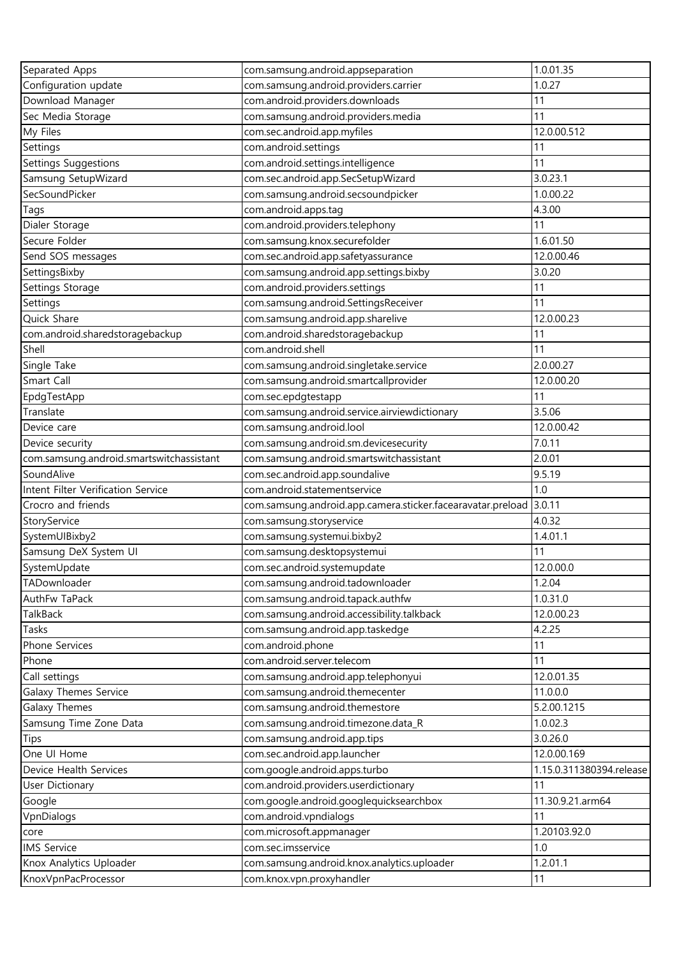| Separated Apps                                           | com.samsung.android.appseparation                                                       | 1.0.01.35                |
|----------------------------------------------------------|-----------------------------------------------------------------------------------------|--------------------------|
| Configuration update                                     | com.samsung.android.providers.carrier                                                   | 1.0.27                   |
| Download Manager                                         | com.android.providers.downloads                                                         | 11                       |
| Sec Media Storage                                        | com.samsung.android.providers.media                                                     | 11                       |
| My Files                                                 | com.sec.android.app.myfiles                                                             | 12.0.00.512              |
| Settings                                                 | com.android.settings                                                                    | 11                       |
| Settings Suggestions                                     | com.android.settings.intelligence                                                       | 11                       |
| Samsung SetupWizard                                      | com.sec.android.app.SecSetupWizard                                                      | 3.0.23.1                 |
| SecSoundPicker                                           | com.samsung.android.secsoundpicker                                                      | 1.0.00.22                |
| Tags                                                     | com.android.apps.tag                                                                    | 4.3.00                   |
| Dialer Storage                                           | com.android.providers.telephony                                                         | 11                       |
| Secure Folder                                            | com.samsung.knox.securefolder                                                           | 1.6.01.50                |
| Send SOS messages                                        | com.sec.android.app.safetyassurance                                                     | 12.0.00.46               |
| SettingsBixby                                            | com.samsung.android.app.settings.bixby                                                  | 3.0.20                   |
| Settings Storage                                         | com.android.providers.settings                                                          | 11                       |
| Settings                                                 | com.samsung.android.SettingsReceiver                                                    | 11                       |
| Quick Share                                              | com.samsung.android.app.sharelive                                                       | 12.0.00.23               |
| com.android.sharedstoragebackup                          | com.android.sharedstoragebackup                                                         | 11                       |
| Shell                                                    | com.android.shell                                                                       | 11                       |
| Single Take                                              | com.samsung.android.singletake.service                                                  | 2.0.00.27                |
| Smart Call                                               | com.samsung.android.smartcallprovider                                                   | 12.0.00.20               |
| EpdgTestApp                                              | com.sec.epdgtestapp                                                                     | 11                       |
| Translate                                                | com.samsung.android.service.airviewdictionary                                           | 3.5.06                   |
| Device care                                              | com.samsung.android.lool                                                                | 12.0.00.42               |
| Device security                                          | com.samsung.android.sm.devicesecurity                                                   | 7.0.11                   |
|                                                          |                                                                                         | 2.0.01                   |
| com.samsung.android.smartswitchassistant<br>SoundAlive   | com.samsung.android.smartswitchassistant                                                | 9.5.19                   |
|                                                          | com.sec.android.app.soundalive                                                          | 1.0                      |
| Intent Filter Verification Service<br>Crocro and friends | com.android.statementservice                                                            | 3.0.11                   |
|                                                          | com.samsung.android.app.camera.sticker.facearavatar.preload<br>com.samsung.storyservice | 4.0.32                   |
| StoryService<br>SystemUIBixby2                           | com.samsung.systemui.bixby2                                                             | 1.4.01.1                 |
|                                                          |                                                                                         |                          |
| Samsung DeX System UI                                    | com.samsung.desktopsystemui                                                             | 11<br>12.0.00.0          |
| SystemUpdate                                             | com.sec.android.systemupdate                                                            |                          |
| TADownloader                                             | com.samsung.android.tadownloader                                                        | 1.2.04                   |
| AuthFw TaPack                                            | com.samsung.android.tapack.authfw                                                       | 1.0.31.0                 |
| TalkBack                                                 | com.samsung.android.accessibility.talkback                                              | 12.0.00.23               |
| Tasks                                                    | com.samsung.android.app.taskedge                                                        | 4.2.25                   |
| Phone Services                                           | com.android.phone                                                                       | 11                       |
| Phone                                                    | com.android.server.telecom                                                              | 11                       |
| Call settings                                            | com.samsung.android.app.telephonyui                                                     | 12.0.01.35               |
| Galaxy Themes Service                                    | com.samsung.android.themecenter                                                         | 11.0.0.0                 |
| Galaxy Themes                                            | com.samsung.android.themestore                                                          | 5.2.00.1215              |
| Samsung Time Zone Data                                   | com.samsung.android.timezone.data_R                                                     | 1.0.02.3                 |
| Tips                                                     | com.samsung.android.app.tips                                                            | 3.0.26.0                 |
| One UI Home                                              | com.sec.android.app.launcher                                                            | 12.0.00.169              |
| Device Health Services                                   | com.google.android.apps.turbo                                                           | 1.15.0.311380394.release |
| User Dictionary                                          | com.android.providers.userdictionary                                                    | 11                       |
| Google                                                   | com.google.android.googlequicksearchbox                                                 | 11.30.9.21.arm64         |
| VpnDialogs                                               | com.android.vpndialogs                                                                  | 11                       |
| core                                                     | com.microsoft.appmanager                                                                | 1.20103.92.0             |
| <b>IMS Service</b>                                       | com.sec.imsservice                                                                      | 1.0                      |
| Knox Analytics Uploader                                  | com.samsung.android.knox.analytics.uploader                                             | 1.2.01.1                 |
| KnoxVpnPacProcessor                                      | com.knox.vpn.proxyhandler                                                               | 11                       |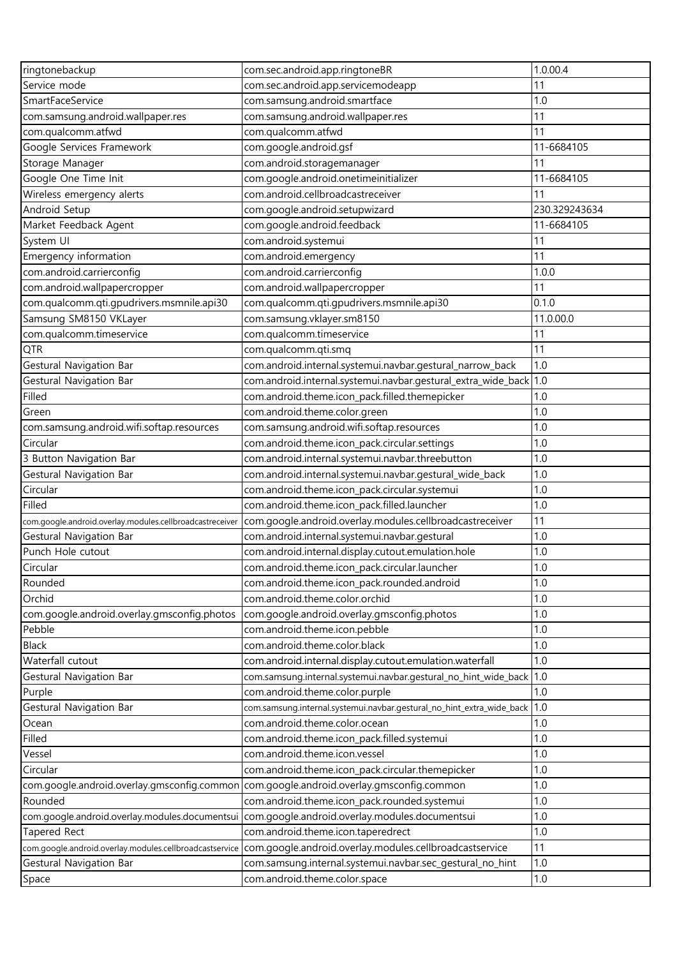| ringtonebackup                                           | com.sec.android.app.ringtoneBR                                        | 1.0.00.4      |
|----------------------------------------------------------|-----------------------------------------------------------------------|---------------|
| Service mode                                             | com.sec.android.app.servicemodeapp                                    | 11            |
| SmartFaceService                                         | com.samsung.android.smartface                                         | 1.0           |
| com.samsung.android.wallpaper.res                        | com.samsung.android.wallpaper.res                                     | 11            |
| com.qualcomm.atfwd                                       | com.qualcomm.atfwd                                                    | 11            |
| Google Services Framework                                | com.google.android.gsf                                                | 11-6684105    |
| Storage Manager                                          | com.android.storagemanager                                            | 11            |
| Google One Time Init                                     | com.google.android.onetimeinitializer                                 | 11-6684105    |
| Wireless emergency alerts                                | com.android.cellbroadcastreceiver                                     | 11            |
| Android Setup                                            | com.google.android.setupwizard                                        | 230.329243634 |
| Market Feedback Agent                                    | com.google.android.feedback                                           | 11-6684105    |
| System UI                                                | com.android.systemui                                                  | 11            |
| Emergency information                                    | com.android.emergency                                                 | 11            |
| com.android.carrierconfig                                | com.android.carrierconfig                                             | 1.0.0         |
| com.android.wallpapercropper                             | com.android.wallpapercropper                                          | 11            |
| com.qualcomm.qti.gpudrivers.msmnile.api30                | com.qualcomm.qti.gpudrivers.msmnile.api30                             | 0.1.0         |
| Samsung SM8150 VKLayer                                   | com.samsung.vklayer.sm8150                                            | 11.0.00.0     |
| com.qualcomm.timeservice                                 | com.qualcomm.timeservice                                              | 11            |
| QTR                                                      | com.qualcomm.qti.smq                                                  | 11            |
| Gestural Navigation Bar                                  | com.android.internal.systemui.navbar.gestural_narrow_back             | 1.0           |
| Gestural Navigation Bar                                  |                                                                       |               |
| Filled                                                   | com.android.theme.icon_pack.filled.themepicker                        | 1.0           |
| Green                                                    | com.android.theme.color.green                                         | 1.0           |
| com.samsung.android.wifi.softap.resources                | com.samsung.android.wifi.softap.resources                             | 1.0           |
| Circular                                                 | com.android.theme.icon_pack.circular.settings                         | 1.0           |
| 3 Button Navigation Bar                                  | com.android.internal.systemui.navbar.threebutton                      | 1.0           |
| Gestural Navigation Bar                                  | com.android.internal.systemui.navbar.gestural_wide_back               | 1.0           |
| Circular                                                 | com.android.theme.icon_pack.circular.systemui                         | 1.0           |
| Filled                                                   | com.android.theme.icon_pack.filled.launcher                           | 1.0           |
| com.google.android.overlay.modules.cellbroadcastreceiver | com.google.android.overlay.modules.cellbroadcastreceiver              | 11            |
| Gestural Navigation Bar                                  | com.android.internal.systemui.navbar.gestural                         | 1.0           |
| Punch Hole cutout                                        | com.android.internal.display.cutout.emulation.hole                    | 1.0           |
| Circular                                                 | com.android.theme.icon_pack.circular.launcher                         | 1.0           |
| Rounded                                                  | com.android.theme.icon_pack.rounded.android                           | 1.0           |
| Orchid                                                   | com.android.theme.color.orchid                                        | 1.0           |
| com.google.android.overlay.gmsconfig.photos              | com.google.android.overlay.gmsconfig.photos                           | 1.0           |
| Pebble                                                   | com.android.theme.icon.pebble                                         | 1.0           |
| <b>Black</b>                                             | com.android.theme.color.black                                         | 1.0           |
| Waterfall cutout                                         | com.android.internal.display.cutout.emulation.waterfall               | 1.0           |
| Gestural Navigation Bar                                  | com.samsung.internal.systemui.navbar.gestural_no_hint_wide_back       | 1.0           |
| Purple                                                   | com.android.theme.color.purple                                        | 1.0           |
| <b>Gestural Navigation Bar</b>                           | com.samsung.internal.systemui.navbar.gestural_no_hint_extra_wide_back | 1.0           |
| Ocean                                                    | com.android.theme.color.ocean                                         | 1.0           |
| Filled                                                   | com.android.theme.icon_pack.filled.systemui                           | 1.0           |
| Vessel                                                   | com.android.theme.icon.vessel                                         | 1.0           |
| Circular                                                 | com.android.theme.icon_pack.circular.themepicker                      | 1.0           |
| com.google.android.overlay.gmsconfig.common              | com.google.android.overlay.gmsconfig.common                           | 1.0           |
| Rounded                                                  | com.android.theme.icon_pack.rounded.systemui                          | $1.0\,$       |
| com.google.android.overlay.modules.documentsui           | com.google.android.overlay.modules.documentsui                        | 1.0           |
| <b>Tapered Rect</b>                                      | com.android.theme.icon.taperedrect                                    | 1.0           |
| com.google.android.overlay.modules.cellbroadcastservice  | com.google.android.overlay.modules.cellbroadcastservice               | 11            |
| Gestural Navigation Bar                                  | com.samsung.internal.systemui.navbar.sec_gestural_no_hint             | 1.0           |
| Space                                                    | com.android.theme.color.space                                         | 1.0           |